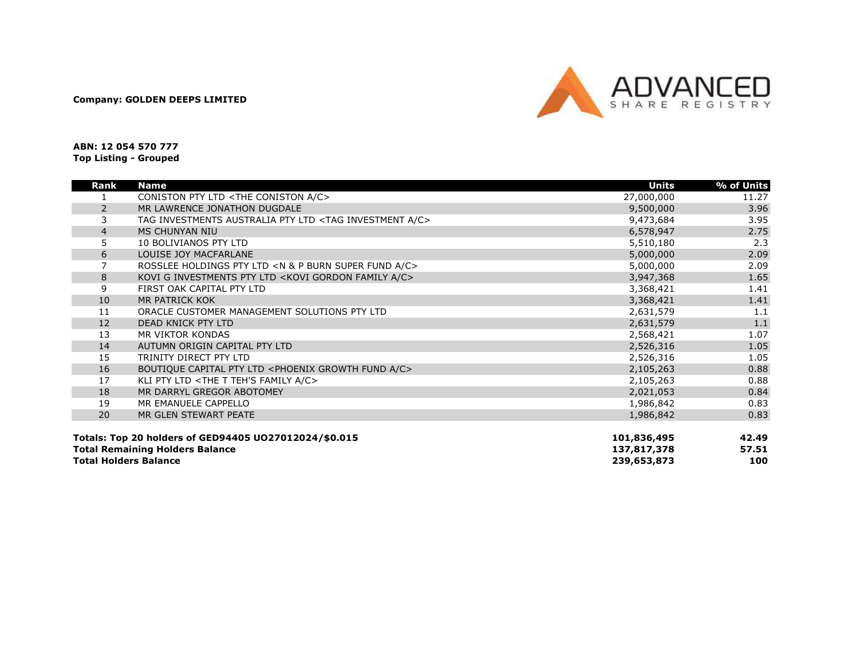Company: GOLDEN DEEPS LIMITED



ABN: 12 054 570 777 Top Listing - Grouped

| Rank                         | <b>Name</b>                                                                   | <b>Units</b> | % of Units |
|------------------------------|-------------------------------------------------------------------------------|--------------|------------|
|                              | CONISTON PTY LTD <the a="" c="" coniston=""></the>                            | 27,000,000   | 11.27      |
| $\overline{2}$               | MR LAWRENCE JONATHON DUGDALE                                                  | 9,500,000    | 3.96       |
| 3                            | TAG INVESTMENTS AUSTRALIA PTY LTD <tag a="" c="" investment=""></tag>         | 9,473,684    | 3.95       |
| $\overline{4}$               | <b>MS CHUNYAN NIU</b>                                                         | 6,578,947    | 2.75       |
| 5                            | 10 BOLIVIANOS PTY LTD                                                         | 5,510,180    | 2.3        |
| 6                            | LOUISE JOY MACFARLANE                                                         | 5,000,000    | 2.09       |
| 7                            | ROSSLEE HOLDINGS PTY LTD <n &="" a="" burn="" c="" fund="" p="" super=""></n> | 5,000,000    | 2.09       |
| 8                            | KOVI G INVESTMENTS PTY LTD <kovi a="" c="" family="" gordon=""></kovi>        | 3,947,368    | 1.65       |
| 9                            | FIRST OAK CAPITAL PTY LTD                                                     | 3,368,421    | 1.41       |
| 10                           | MR PATRICK KOK                                                                | 3,368,421    | 1.41       |
| 11                           | ORACLE CUSTOMER MANAGEMENT SOLUTIONS PTY LTD                                  | 2,631,579    | 1.1        |
| 12                           | DEAD KNICK PTY LTD                                                            | 2,631,579    | 1.1        |
| 13                           | MR VIKTOR KONDAS                                                              | 2,568,421    | 1.07       |
| 14                           | AUTUMN ORIGIN CAPITAL PTY LTD                                                 | 2,526,316    | 1.05       |
| 15                           | TRINITY DIRECT PTY LTD                                                        | 2,526,316    | 1.05       |
| 16                           | BOUTIQUE CAPITAL PTY LTD <phoenix a="" c="" fund="" growth=""></phoenix>      | 2,105,263    | 0.88       |
| 17                           | KLI PTY LTD <the a="" c="" family="" t="" teh's=""></the>                     | 2,105,263    | 0.88       |
| 18                           | MR DARRYL GREGOR ABOTOMEY                                                     | 2,021,053    | 0.84       |
| 19                           | MR EMANUELE CAPPELLO                                                          | 1,986,842    | 0.83       |
| 20                           | MR GLEN STEWART PEATE                                                         | 1,986,842    | 0.83       |
|                              |                                                                               |              |            |
|                              | Totals: Top 20 holders of GED94405 UO27012024/\$0.015                         | 101,836,495  | 42.49      |
|                              | <b>Total Remaining Holders Balance</b>                                        | 137,817,378  | 57.51      |
| <b>Total Holders Balance</b> |                                                                               | 239,653,873  | 100        |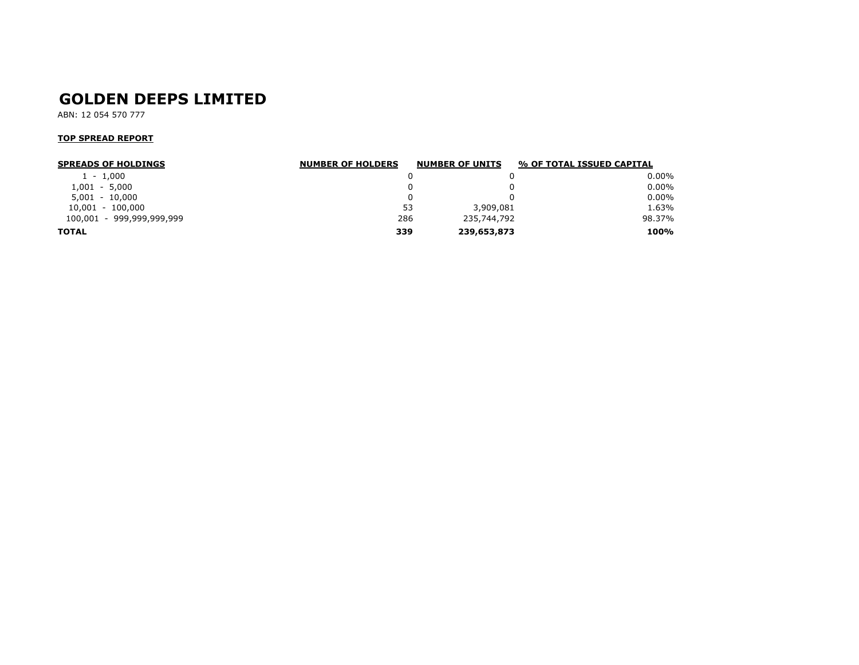# GOLDEN DEEPS LIMITED

ABN: 12 054 570 777

#### TOP SPREAD REPORT

| <b>SPREADS OF HOLDINGS</b> | <b>NUMBER OF HOLDERS</b> | <b>NUMBER OF UNITS</b> | % OF TOTAL ISSUED CAPITAL |
|----------------------------|--------------------------|------------------------|---------------------------|
| $1 - 1,000$                |                          |                        | $0.00\%$                  |
| $1,001 - 5,000$            |                          |                        | $0.00\%$                  |
| $5.001 - 10.000$           |                          |                        | $0.00\%$                  |
| 10,001 - 100,000           | 53                       | 3,909,081              | 1.63%                     |
| 100,001 - 999,999,999,999  | 286                      | 235,744,792            | 98.37%                    |
| <b>TOTAL</b>               | 339                      | 239,653,873            | 100%                      |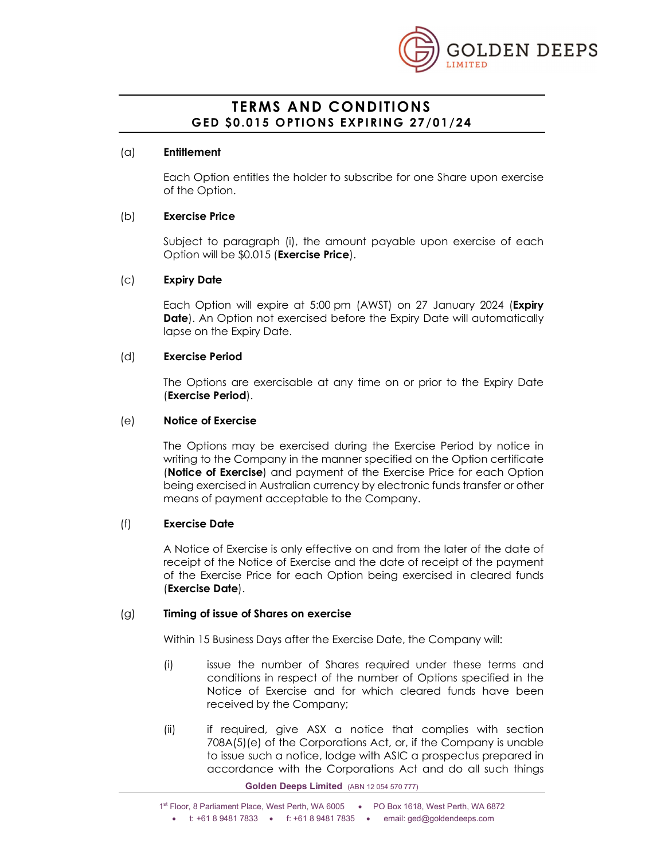

# TERMS AND CONDITIONS

# (a) Entitlement

Each Option entitles the holder to subscribe for one Share upon exercise of the Option.

# (b) Exercise Price

Subject to paragraph (i), the amount payable upon exercise of each Option will be \$0.015 (Exercise Price).

# (c) Expiry Date

Each Option will expire at 5:00 pm (AWST) on 27 January 2024 (Expiry **Date).** An Option not exercised before the Expiry Date will automatically lapse on the Expiry Date.

# (d) Exercise Period

The Options are exercisable at any time on or prior to the Expiry Date (Exercise Period).

# (e) Notice of Exercise

The Options may be exercised during the Exercise Period by notice in writing to the Company in the manner specified on the Option certificate (Notice of Exercise) and payment of the Exercise Price for each Option being exercised in Australian currency by electronic funds transfer or other means of payment acceptable to the Company.

# (f) Exercise Date

A Notice of Exercise is only effective on and from the later of the date of receipt of the Notice of Exercise and the date of receipt of the payment of the Exercise Price for each Option being exercised in cleared funds (Exercise Date).

### (g) Timing of issue of Shares on exercise

Within 15 Business Days after the Exercise Date, the Company will:

- (i) issue the number of Shares required under these terms and conditions in respect of the number of Options specified in the Notice of Exercise and for which cleared funds have been received by the Company;
- (ii) if required, give ASX a notice that complies with section 708A(5)(e) of the Corporations Act, or, if the Company is unable to issue such a notice, lodge with ASIC a prospectus prepared in accordance with the Corporations Act and do all such things

Golden Deeps Limited (ABN 12 054 570 777)